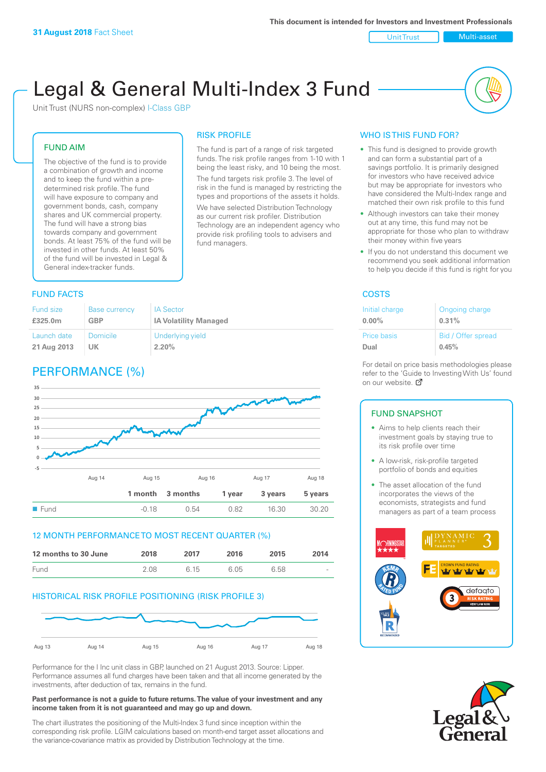#### Unit Trust Nulti-asset

# Legal & General Multi-Index 3 Fund

RISK PROFILE

fund managers.

The fund is part of a range of risk targeted funds. The risk profile ranges from 1-10 with 1 being the least risky, and 10 being the most. The fund targets risk profile 3. The level of risk in the fund is managed by restricting the types and proportions of the assets it holds. We have selected Distribution Technology as our current risk profiler. Distribution Technology are an independent agency who provide risk profiling tools to advisers and

Unit Trust (NURS non-complex) I-Class GBP

#### FUND AIM

The objective of the fund is to provide a combination of growth and income and to keep the fund within a predetermined risk profile. The fund will have exposure to company and government bonds, cash, company shares and UK commercial property. The fund will have a strong bias towards company and government bonds. At least 75% of the fund will be invested in other funds. At least 50% of the fund will be invested in Legal & General index-tracker funds.

#### **FUND FACTS** COSTS

| Fund size   | <b>Base currency</b> | <b>IA Sector</b>             |
|-------------|----------------------|------------------------------|
| £325.0m     | <b>GBP</b>           | <b>IA Volatility Managed</b> |
| Launch date | <b>Domicile</b>      | Underlying yield             |
| 21 Aug 2013 | UK                   | 2.20%                        |

# PERFORMANCE (%)



#### 12 MONTH PERFORMANCE TO MOST RECENT QUARTER (%)

| 12 months to 30 June | 2018 | 2017 | 2016 | 2015 | 2014   |
|----------------------|------|------|------|------|--------|
| Fund                 | 2.08 | 6.15 | 6.05 | 6.58 | $\sim$ |

#### HISTORICAL RISK PROFILE POSITIONING (RISK PROFILE 3)



Performance for the I Inc unit class in GBP, launched on 21 August 2013. Source: Lipper. Performance assumes all fund charges have been taken and that all income generated by the investments, after deduction of tax, remains in the fund.

#### **Past performance is not a guide to future returns. The value of your investment and any income taken from it is not guaranteed and may go up and down.**

The chart illustrates the positioning of the Multi-Index 3 fund since inception within the corresponding risk profile. LGIM calculations based on month-end target asset allocations and the variance-covariance matrix as provided by Distribution Technology at the time.

#### WHO IS THIS FUND FOR?

- This fund is designed to provide growth and can form a substantial part of a savings portfolio. It is primarily designed for investors who have received advice but may be appropriate for investors who have considered the Multi-Index range and matched their own risk profile to this fund
- Although investors can take their money out at any time, this fund may not be appropriate for those who plan to withdraw their money within five years
- If you do not understand this document we recommend you seek additional information to help you decide if this fund is right for you

| Initial charge | Ongoing charge     |
|----------------|--------------------|
| $0.00\%$       | 0.31%              |
| Price basis    | Bid / Offer spread |
| Dual           | 0.45%              |

For detail on price basis methodologies please refer to the 'Gu[ide t](http://www.legalandgeneral.com/guide)o Investing With Us' found on our website. Ø

#### FUND SNAPSHOT

- Aims to help clients reach their investment goals by staying true to its risk profile over time
- A low-risk, risk-profile targeted portfolio of bonds and equities
- The asset allocation of the fund incorporates the views of the economists, strategists and fund managers as part of a team process



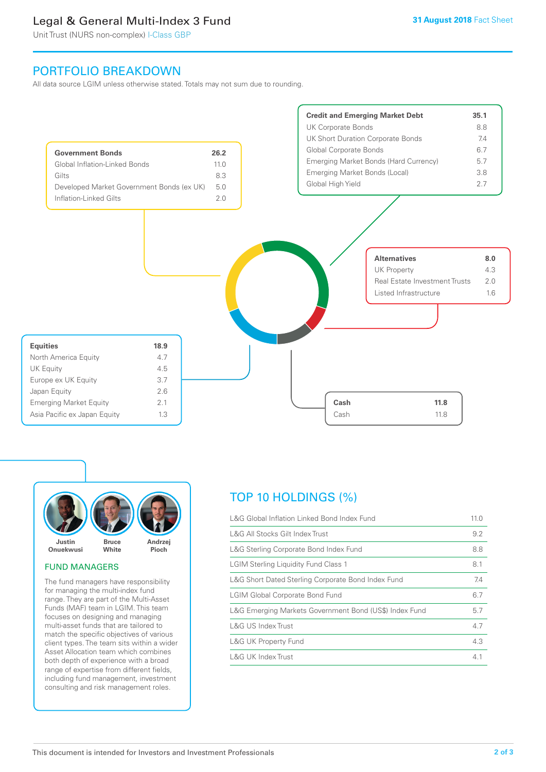# Legal & General Multi-Index 3 Fund

Unit Trust (NURS non-complex) I-Class GBP

## PORTFOLIO BREAKDOWN

All data source LGIM unless otherwise stated. Totals may not sum due to rounding.





#### FUND MANAGERS

The fund managers have responsibility for managing the multi-index fund range. They are part of the Multi-Asset Funds (MAF) team in LGIM. This team focuses on designing and managing multi-asset funds that are tailored to match the specific objectives of various client types. The team sits within a wider Asset Allocation team which combines both depth of experience with a broad range of expertise from different fields, including fund management, investment consulting and risk management roles.

# TOP 10 HOLDINGS (%)

| L&G Global Inflation Linked Bond Index Fund            | 11.0 |
|--------------------------------------------------------|------|
| L&G All Stocks Gilt Index Trust                        | 9.2  |
| L&G Sterling Corporate Bond Index Fund                 | 8.8  |
| <b>LGIM Sterling Liquidity Fund Class 1</b>            | 8.1  |
| L&G Short Dated Sterling Corporate Bond Index Fund     | 7.4  |
| <b>LGIM Global Corporate Bond Fund</b>                 | 6.7  |
| L&G Emerging Markets Government Bond (US\$) Index Fund | 5.7  |
| L&G US Index Trust                                     | 4.7  |
| <b>L&amp;G UK Property Fund</b>                        | 4.3  |
| L&G UK Index Trust                                     | 4.1  |